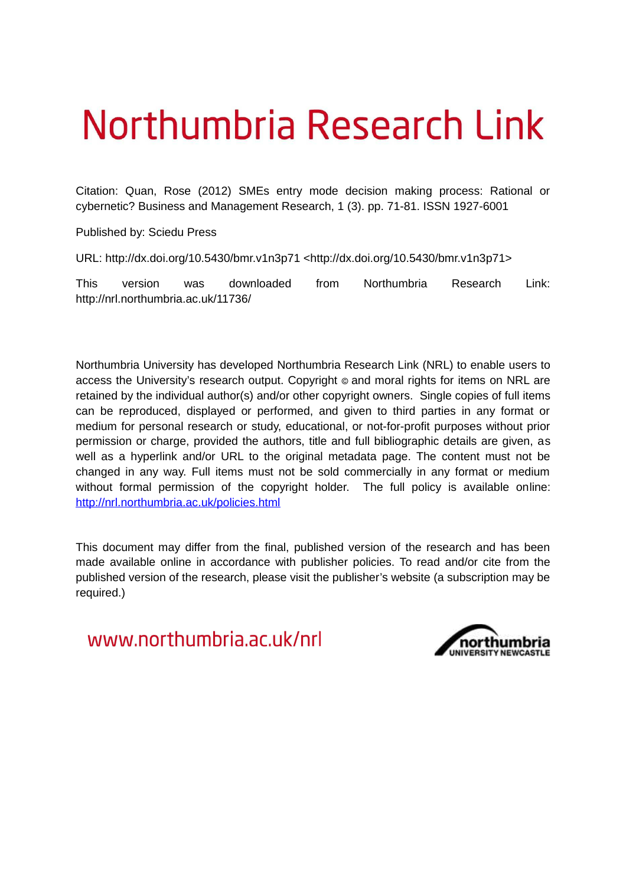# Northumbria Research Link

Citation: Quan, Rose (2012) SMEs entry mode decision making process: Rational or cybernetic? Business and Management Research, 1 (3). pp. 71-81. ISSN 1927-6001

Published by: Sciedu Press

URL: http://dx.doi.org/10.5430/bmr.v1n3p71 <http://dx.doi.org/10.5430/bmr.v1n3p71>

This version was downloaded from Northumbria Research Link: http://nrl.northumbria.ac.uk/11736/

Northumbria University has developed Northumbria Research Link (NRL) to enable users to access the University's research output. Copyright © and moral rights for items on NRL are retained by the individual author(s) and/or other copyright owners. Single copies of full items can be reproduced, displayed or performed, and given to third parties in any format or medium for personal research or study, educational, or not-for-profit purposes without prior permission or charge, provided the authors, title and full bibliographic details are given, as well as a hyperlink and/or URL to the original metadata page. The content must not be changed in any way. Full items must not be sold commercially in any format or medium without formal permission of the copyright holder. The full policy is available online: <http://nrl.northumbria.ac.uk/policies.html>

This document may differ from the final, published version of the research and has been made available online in accordance with publisher policies. To read and/or cite from the published version of the research, please visit the publisher's website (a subscription may be required.)

www.northumbria.ac.uk/nrl

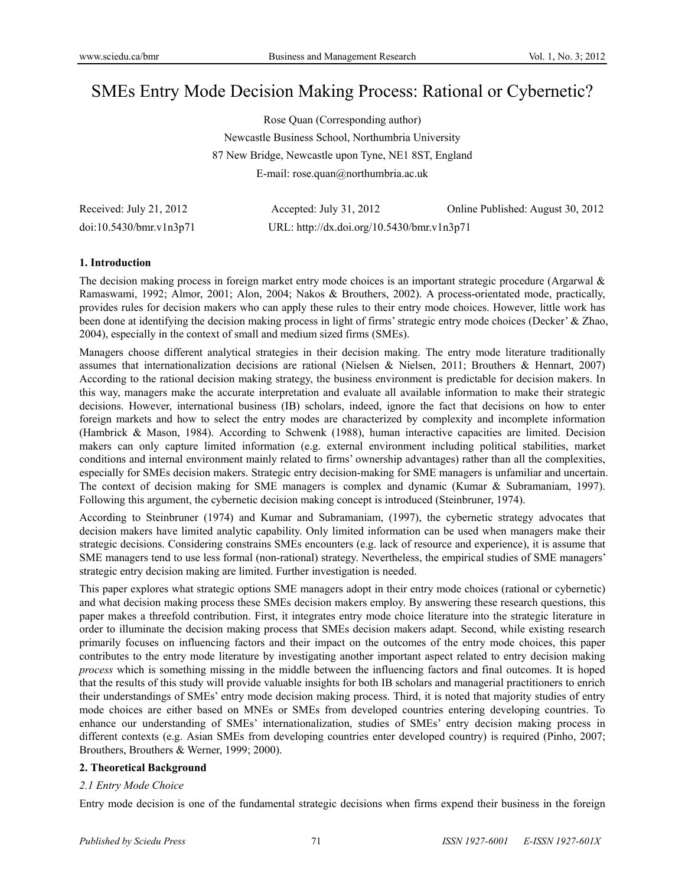# SMEs Entry Mode Decision Making Process: Rational or Cybernetic?

Rose Quan (Corresponding author) Newcastle Business School, Northumbria University 87 New Bridge, Newcastle upon Tyne, NE1 8ST, England E-mail: rose.quan@northumbria.ac.uk

| Received: July 21, 2012 | Accepted: July $31, 2012$                  | Online Published: August 30, 2012 |
|-------------------------|--------------------------------------------|-----------------------------------|
| doi:10.5430/bmr.v1n3p71 | URL: http://dx.doi.org/10.5430/bmr.v1n3p71 |                                   |

#### **1. Introduction**

The decision making process in foreign market entry mode choices is an important strategic procedure (Argarwal & Ramaswami, 1992; Almor, 2001; Alon, 2004; Nakos & Brouthers, 2002). A process-orientated mode, practically, provides rules for decision makers who can apply these rules to their entry mode choices. However, little work has been done at identifying the decision making process in light of firms' strategic entry mode choices (Decker' & Zhao, 2004), especially in the context of small and medium sized firms (SMEs).

Managers choose different analytical strategies in their decision making. The entry mode literature traditionally assumes that internationalization decisions are rational (Nielsen & Nielsen, 2011; Brouthers & Hennart, 2007) According to the rational decision making strategy, the business environment is predictable for decision makers. In this way, managers make the accurate interpretation and evaluate all available information to make their strategic decisions. However, international business (IB) scholars, indeed, ignore the fact that decisions on how to enter foreign markets and how to select the entry modes are characterized by complexity and incomplete information (Hambrick & Mason, 1984). According to Schwenk (1988), human interactive capacities are limited. Decision makers can only capture limited information (e.g. external environment including political stabilities, market conditions and internal environment mainly related to firms' ownership advantages) rather than all the complexities, especially for SMEs decision makers. Strategic entry decision-making for SME managers is unfamiliar and uncertain. The context of decision making for SME managers is complex and dynamic (Kumar & Subramaniam, 1997). Following this argument, the cybernetic decision making concept is introduced (Steinbruner, 1974).

According to Steinbruner (1974) and Kumar and Subramaniam, (1997), the cybernetic strategy advocates that decision makers have limited analytic capability. Only limited information can be used when managers make their strategic decisions. Considering constrains SMEs encounters (e.g. lack of resource and experience), it is assume that SME managers tend to use less formal (non-rational) strategy. Nevertheless, the empirical studies of SME managers' strategic entry decision making are limited. Further investigation is needed.

This paper explores what strategic options SME managers adopt in their entry mode choices (rational or cybernetic) and what decision making process these SMEs decision makers employ. By answering these research questions, this paper makes a threefold contribution. First, it integrates entry mode choice literature into the strategic literature in order to illuminate the decision making process that SMEs decision makers adapt. Second, while existing research primarily focuses on influencing factors and their impact on the outcomes of the entry mode choices, this paper contributes to the entry mode literature by investigating another important aspect related to entry decision making *process* which is something missing in the middle between the influencing factors and final outcomes. It is hoped that the results of this study will provide valuable insights for both IB scholars and managerial practitioners to enrich their understandings of SMEs' entry mode decision making process. Third, it is noted that majority studies of entry mode choices are either based on MNEs or SMEs from developed countries entering developing countries. To enhance our understanding of SMEs' internationalization, studies of SMEs' entry decision making process in different contexts (e.g. Asian SMEs from developing countries enter developed country) is required (Pinho, 2007; Brouthers, Brouthers & Werner, 1999; 2000).

# **2. Theoretical Background**

# *2.1 Entry Mode Choice*

Entry mode decision is one of the fundamental strategic decisions when firms expend their business in the foreign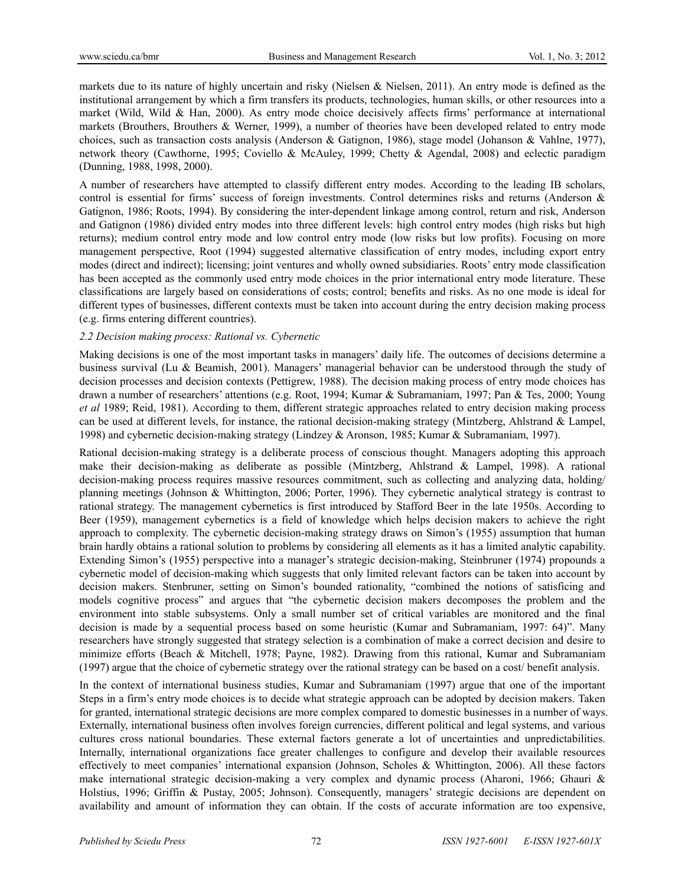markets due to its nature of highly uncertain and risky (Nielsen & Nielsen, 2011). An entry mode is defined as the institutional arrangement by which a firm transfers its products, technologies, human skills, or other resources into a market (Wild, Wild & Han, 2000). As entry mode choice decisively affects firms' performance at international markets (Brouthers, Brouthers & Werner, 1999), a number of theories have been developed related to entry mode choices, such as transaction costs analysis (Anderson & Gatignon, 1986), stage model (Johanson & Vahlne, 1977), network theory (Cawthorne, 1995; Coviello & McAuley, 1999; Chetty & Agendal, 2008) and eclectic paradigm (Dunning, 1988, 1998, 2000).

A number of researchers have attempted to classify different entry modes. According to the leading IB scholars, control is essential for firms' success of foreign investments. Control determines risks and returns (Anderson & Gatignon, 1986; Roots, 1994). By considering the inter-dependent linkage among control, return and risk, Anderson and Gatignon (1986) divided entry modes into three different levels: high control entry modes (high risks but high returns); medium control entry mode and low control entry mode (low risks but low profits). Focusing on more management perspective, Root (1994) suggested alternative classification of entry modes, including export entry modes (direct and indirect); licensing; joint ventures and wholly owned subsidiaries. Roots' entry mode classification has been accepted as the commonly used entry mode choices in the prior international entry mode literature. These classifications are largely based on considerations of costs; control; benefits and risks. As no one mode is ideal for different types of businesses, different contexts must be taken into account during the entry decision making process (e.g. firms entering different countries).

#### *2.2 Decision making process: Rational vs. Cybernetic*

Making decisions is one of the most important tasks in managers' daily life. The outcomes of decisions determine a business survival (Lu & Beamish, 2001). Managers' managerial behavior can be understood through the study of decision processes and decision contexts (Pettigrew, 1988). The decision making process of entry mode choices has drawn a number of researchers' attentions (e.g. Root, 1994; Kumar & Subramaniam, 1997; Pan & Tes, 2000; Young *et al* 1989; Reid, 1981). According to them, different strategic approaches related to entry decision making process can be used at different levels, for instance, the rational decision-making strategy (Mintzberg, Ahlstrand & Lampel, 1998) and cybernetic decision-making strategy (Lindzey & Aronson, 1985; Kumar & Subramaniam, 1997).

Rational decision-making strategy is a deliberate process of conscious thought. Managers adopting this approach make their decision-making as deliberate as possible (Mintzberg, Ahlstrand & Lampel, 1998). A rational decision-making process requires massive resources commitment, such as collecting and analyzing data, holding/ planning meetings (Johnson & Whittington, 2006; Porter, 1996). They cybernetic analytical strategy is contrast to rational strategy. The management cybernetics is first introduced by Stafford Beer in the late 1950s. According to Beer (1959), management cybernetics is a field of knowledge which helps decision makers to achieve the right approach to complexity. The cybernetic decision-making strategy draws on Simon's (1955) assumption that human brain hardly obtains a rational solution to problems by considering all elements as it has a limited analytic capability. Extending Simon's (1955) perspective into a manager's strategic decision-making, Steinbruner (1974) propounds a cybernetic model of decision-making which suggests that only limited relevant factors can be taken into account by decision makers. Stenbruner, setting on Simon's bounded rationality, "combined the notions of satisficing and models cognitive process" and argues that "the cybernetic decision makers decomposes the problem and the environment into stable subsystems. Only a small number set of critical variables are monitored and the final decision is made by a sequential process based on some heuristic (Kumar and Subramaniam, 1997: 64)". Many researchers have strongly suggested that strategy selection is a combination of make a correct decision and desire to minimize efforts (Beach & Mitchell, 1978; Payne, 1982). Drawing from this rational, Kumar and Subramaniam (1997) argue that the choice of cybernetic strategy over the rational strategy can be based on a cost/ benefit analysis.

In the context of international business studies, Kumar and Subramaniam (1997) argue that one of the important Steps in a firm's entry mode choices is to decide what strategic approach can be adopted by decision makers. Taken for granted, international strategic decisions are more complex compared to domestic businesses in a number of ways. Externally, international business often involves foreign currencies, different political and legal systems, and various cultures cross national boundaries. These external factors generate a lot of uncertainties and unpredictabilities. Internally, international organizations face greater challenges to configure and develop their available resources effectively to meet companies' international expansion (Johnson, Scholes & Whittington, 2006). All these factors make international strategic decision-making a very complex and dynamic process (Aharoni, 1966; Ghauri & Holstius, 1996; Griffin & Pustay, 2005; Johnson). Consequently, managers' strategic decisions are dependent on availability and amount of information they can obtain. If the costs of accurate information are too expensive,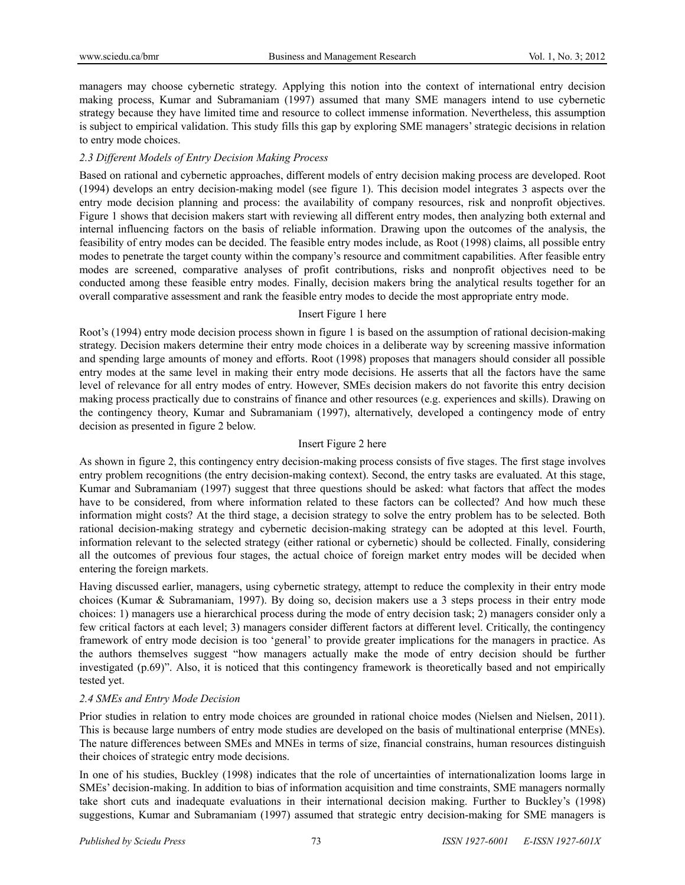managers may choose cybernetic strategy. Applying this notion into the context of international entry decision making process, Kumar and Subramaniam (1997) assumed that many SME managers intend to use cybernetic strategy because they have limited time and resource to collect immense information. Nevertheless, this assumption is subject to empirical validation. This study fills this gap by exploring SME managers' strategic decisions in relation to entry mode choices.

# *2.3 Different Models of Entry Decision Making Process*

Based on rational and cybernetic approaches, different models of entry decision making process are developed. Root (1994) develops an entry decision-making model (see figure 1). This decision model integrates 3 aspects over the entry mode decision planning and process: the availability of company resources, risk and nonprofit objectives. Figure 1 shows that decision makers start with reviewing all different entry modes, then analyzing both external and internal influencing factors on the basis of reliable information. Drawing upon the outcomes of the analysis, the feasibility of entry modes can be decided. The feasible entry modes include, as Root (1998) claims, all possible entry modes to penetrate the target county within the company's resource and commitment capabilities. After feasible entry modes are screened, comparative analyses of profit contributions, risks and nonprofit objectives need to be conducted among these feasible entry modes. Finally, decision makers bring the analytical results together for an overall comparative assessment and rank the feasible entry modes to decide the most appropriate entry mode.

# Insert Figure 1 here

Root's (1994) entry mode decision process shown in figure 1 is based on the assumption of rational decision-making strategy. Decision makers determine their entry mode choices in a deliberate way by screening massive information and spending large amounts of money and efforts. Root (1998) proposes that managers should consider all possible entry modes at the same level in making their entry mode decisions. He asserts that all the factors have the same level of relevance for all entry modes of entry. However, SMEs decision makers do not favorite this entry decision making process practically due to constrains of finance and other resources (e.g. experiences and skills). Drawing on the contingency theory, Kumar and Subramaniam (1997), alternatively, developed a contingency mode of entry decision as presented in figure 2 below.

### Insert Figure 2 here

As shown in figure 2, this contingency entry decision-making process consists of five stages. The first stage involves entry problem recognitions (the entry decision-making context). Second, the entry tasks are evaluated. At this stage, Kumar and Subramaniam (1997) suggest that three questions should be asked: what factors that affect the modes have to be considered, from where information related to these factors can be collected? And how much these information might costs? At the third stage, a decision strategy to solve the entry problem has to be selected. Both rational decision-making strategy and cybernetic decision-making strategy can be adopted at this level. Fourth, information relevant to the selected strategy (either rational or cybernetic) should be collected. Finally, considering all the outcomes of previous four stages, the actual choice of foreign market entry modes will be decided when entering the foreign markets.

Having discussed earlier, managers, using cybernetic strategy, attempt to reduce the complexity in their entry mode choices (Kumar & Subramaniam, 1997). By doing so, decision makers use a 3 steps process in their entry mode choices: 1) managers use a hierarchical process during the mode of entry decision task; 2) managers consider only a few critical factors at each level; 3) managers consider different factors at different level. Critically, the contingency framework of entry mode decision is too 'general' to provide greater implications for the managers in practice. As the authors themselves suggest "how managers actually make the mode of entry decision should be further investigated (p.69)". Also, it is noticed that this contingency framework is theoretically based and not empirically tested yet.

# *2.4 SMEs and Entry Mode Decision*

Prior studies in relation to entry mode choices are grounded in rational choice modes (Nielsen and Nielsen, 2011). This is because large numbers of entry mode studies are developed on the basis of multinational enterprise (MNEs). The nature differences between SMEs and MNEs in terms of size, financial constrains, human resources distinguish their choices of strategic entry mode decisions.

In one of his studies, Buckley (1998) indicates that the role of uncertainties of internationalization looms large in SMEs' decision-making. In addition to bias of information acquisition and time constraints, SME managers normally take short cuts and inadequate evaluations in their international decision making. Further to Buckley's (1998) suggestions, Kumar and Subramaniam (1997) assumed that strategic entry decision-making for SME managers is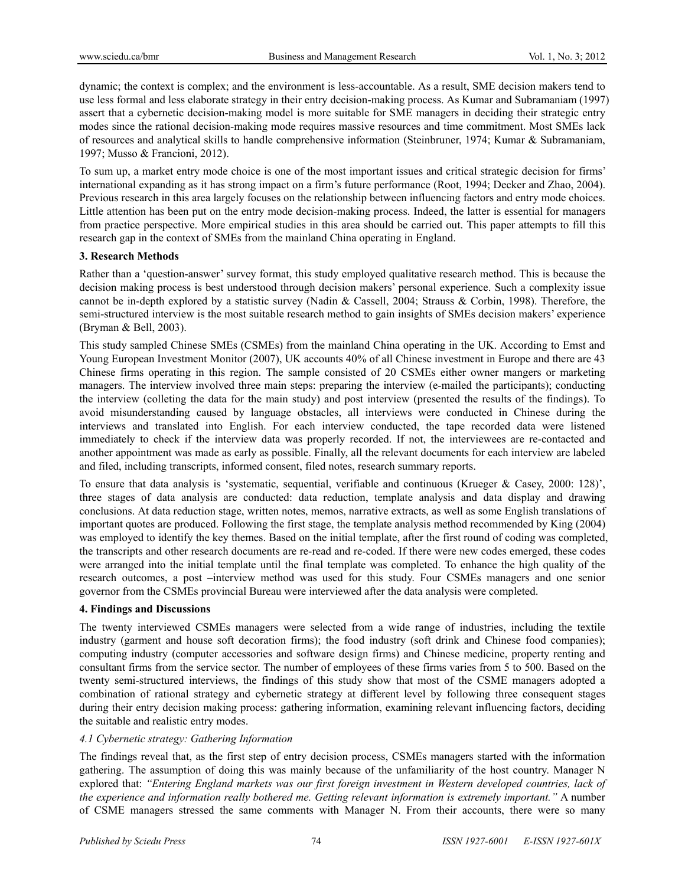dynamic; the context is complex; and the environment is less-accountable. As a result, SME decision makers tend to use less formal and less elaborate strategy in their entry decision-making process. As Kumar and Subramaniam (1997) assert that a cybernetic decision-making model is more suitable for SME managers in deciding their strategic entry modes since the rational decision-making mode requires massive resources and time commitment. Most SMEs lack of resources and analytical skills to handle comprehensive information (Steinbruner, 1974; Kumar & Subramaniam, 1997; Musso & Francioni, 2012).

To sum up, a market entry mode choice is one of the most important issues and critical strategic decision for firms' international expanding as it has strong impact on a firm's future performance (Root, 1994; Decker and Zhao, 2004). Previous research in this area largely focuses on the relationship between influencing factors and entry mode choices. Little attention has been put on the entry mode decision-making process. Indeed, the latter is essential for managers from practice perspective. More empirical studies in this area should be carried out. This paper attempts to fill this research gap in the context of SMEs from the mainland China operating in England.

#### **3. Research Methods**

Rather than a 'question-answer' survey format, this study employed qualitative research method. This is because the decision making process is best understood through decision makers' personal experience. Such a complexity issue cannot be in-depth explored by a statistic survey (Nadin & Cassell, 2004; Strauss & Corbin, 1998). Therefore, the semi-structured interview is the most suitable research method to gain insights of SMEs decision makers' experience (Bryman & Bell, 2003).

This study sampled Chinese SMEs (CSMEs) from the mainland China operating in the UK. According to Emst and Young European Investment Monitor (2007), UK accounts 40% of all Chinese investment in Europe and there are 43 Chinese firms operating in this region. The sample consisted of 20 CSMEs either owner mangers or marketing managers. The interview involved three main steps: preparing the interview (e-mailed the participants); conducting the interview (colleting the data for the main study) and post interview (presented the results of the findings). To avoid misunderstanding caused by language obstacles, all interviews were conducted in Chinese during the interviews and translated into English. For each interview conducted, the tape recorded data were listened immediately to check if the interview data was properly recorded. If not, the interviewees are re-contacted and another appointment was made as early as possible. Finally, all the relevant documents for each interview are labeled and filed, including transcripts, informed consent, filed notes, research summary reports.

To ensure that data analysis is 'systematic, sequential, verifiable and continuous (Krueger & Casey, 2000: 128)', three stages of data analysis are conducted: data reduction, template analysis and data display and drawing conclusions. At data reduction stage, written notes, memos, narrative extracts, as well as some English translations of important quotes are produced. Following the first stage, the template analysis method recommended by King (2004) was employed to identify the key themes. Based on the initial template, after the first round of coding was completed, the transcripts and other research documents are re-read and re-coded. If there were new codes emerged, these codes were arranged into the initial template until the final template was completed. To enhance the high quality of the research outcomes, a post –interview method was used for this study. Four CSMEs managers and one senior governor from the CSMEs provincial Bureau were interviewed after the data analysis were completed.

#### **4. Findings and Discussions**

The twenty interviewed CSMEs managers were selected from a wide range of industries, including the textile industry (garment and house soft decoration firms); the food industry (soft drink and Chinese food companies); computing industry (computer accessories and software design firms) and Chinese medicine, property renting and consultant firms from the service sector. The number of employees of these firms varies from 5 to 500. Based on the twenty semi-structured interviews, the findings of this study show that most of the CSME managers adopted a combination of rational strategy and cybernetic strategy at different level by following three consequent stages during their entry decision making process: gathering information, examining relevant influencing factors, deciding the suitable and realistic entry modes.

#### *4.1 Cybernetic strategy: Gathering Information*

The findings reveal that, as the first step of entry decision process, CSMEs managers started with the information gathering. The assumption of doing this was mainly because of the unfamiliarity of the host country. Manager N explored that: *"Entering England markets was our first foreign investment in Western developed countries, lack of the experience and information really bothered me. Getting relevant information is extremely important."* A number of CSME managers stressed the same comments with Manager N. From their accounts, there were so many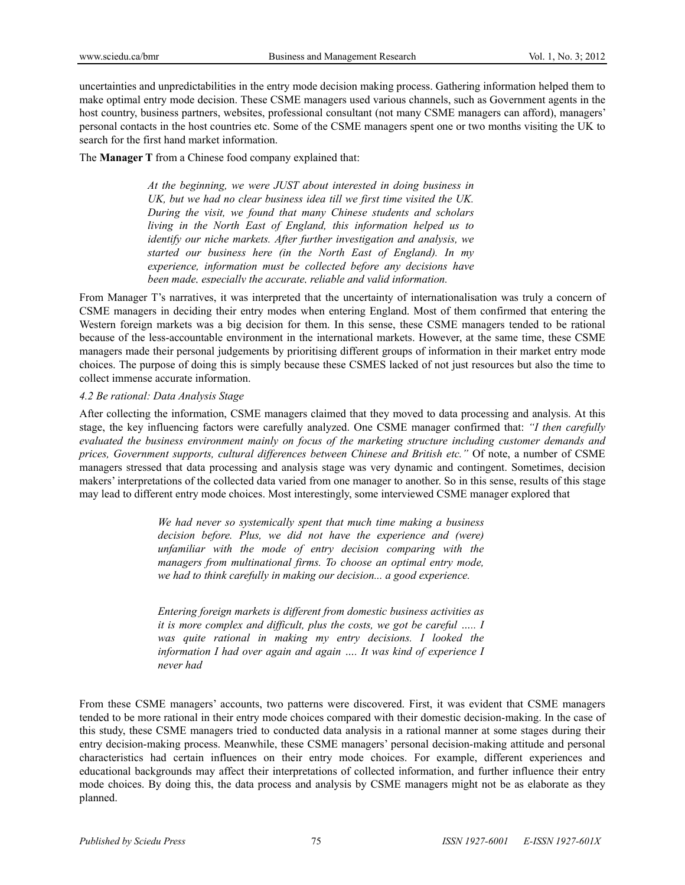uncertainties and unpredictabilities in the entry mode decision making process. Gathering information helped them to make optimal entry mode decision. These CSME managers used various channels, such as Government agents in the host country, business partners, websites, professional consultant (not many CSME managers can afford), managers' personal contacts in the host countries etc. Some of the CSME managers spent one or two months visiting the UK to search for the first hand market information.

The **Manager T** from a Chinese food company explained that:

*At the beginning, we were JUST about interested in doing business in UK, but we had no clear business idea till we first time visited the UK. During the visit, we found that many Chinese students and scholars living in the North East of England, this information helped us to identify our niche markets. After further investigation and analysis, we started our business here (in the North East of England). In my experience, information must be collected before any decisions have been made, especially the accurate, reliable and valid information.*

From Manager T's narratives, it was interpreted that the uncertainty of internationalisation was truly a concern of CSME managers in deciding their entry modes when entering England. Most of them confirmed that entering the Western foreign markets was a big decision for them. In this sense, these CSME managers tended to be rational because of the less-accountable environment in the international markets. However, at the same time, these CSME managers made their personal judgements by prioritising different groups of information in their market entry mode choices. The purpose of doing this is simply because these CSMES lacked of not just resources but also the time to collect immense accurate information.

#### *4.2 Be rational: Data Analysis Stage*

After collecting the information, CSME managers claimed that they moved to data processing and analysis. At this stage, the key influencing factors were carefully analyzed. One CSME manager confirmed that: *"I then carefully evaluated the business environment mainly on focus of the marketing structure including customer demands and prices, Government supports, cultural differences between Chinese and British etc."* Of note, a number of CSME managers stressed that data processing and analysis stage was very dynamic and contingent. Sometimes, decision makers' interpretations of the collected data varied from one manager to another. So in this sense, results of this stage may lead to different entry mode choices. Most interestingly, some interviewed CSME manager explored that

> *We had never so systemically spent that much time making a business decision before. Plus, we did not have the experience and (were) unfamiliar with the mode of entry decision comparing with the managers from multinational firms. To choose an optimal entry mode, we had to think carefully in making our decision... a good experience.*

> *Entering foreign markets is different from domestic business activities as it is more complex and difficult, plus the costs, we got be careful ….. I was quite rational in making my entry decisions. I looked the information I had over again and again …. It was kind of experience I never had*

From these CSME managers' accounts, two patterns were discovered. First, it was evident that CSME managers tended to be more rational in their entry mode choices compared with their domestic decision-making. In the case of this study, these CSME managers tried to conducted data analysis in a rational manner at some stages during their entry decision-making process. Meanwhile, these CSME managers' personal decision-making attitude and personal characteristics had certain influences on their entry mode choices. For example, different experiences and educational backgrounds may affect their interpretations of collected information, and further influence their entry mode choices. By doing this, the data process and analysis by CSME managers might not be as elaborate as they planned.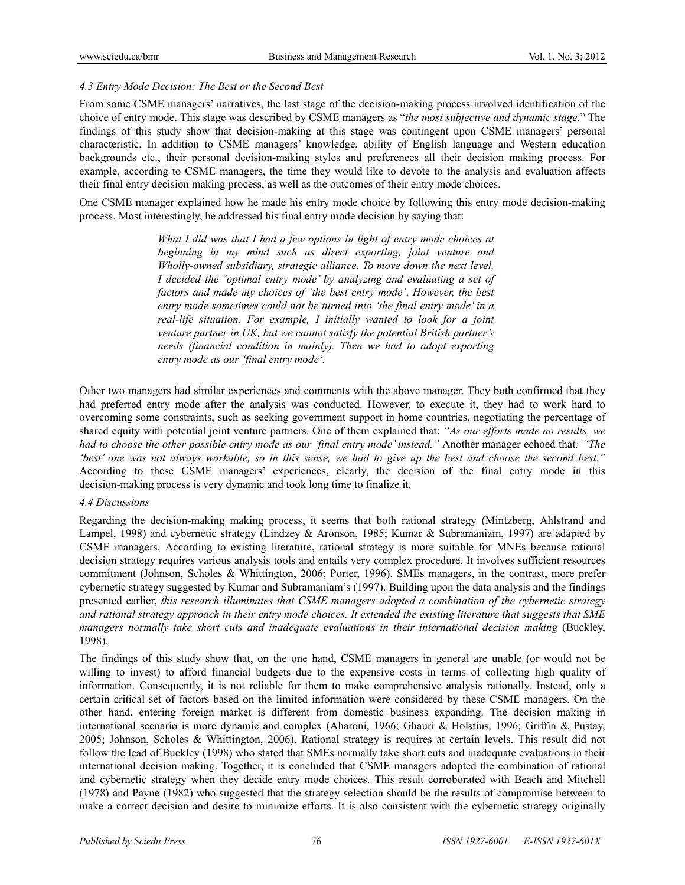#### *4.3 Entry Mode Decision: The Best or the Second Best*

From some CSME managers' narratives, the last stage of the decision-making process involved identification of the choice of entry mode. This stage was described by CSME managers as "*the most subjective and dynamic stage*." The findings of this study show that decision-making at this stage was contingent upon CSME managers' personal characteristic. In addition to CSME managers' knowledge, ability of English language and Western education backgrounds etc., their personal decision-making styles and preferences all their decision making process. For example, according to CSME managers, the time they would like to devote to the analysis and evaluation affects their final entry decision making process, as well as the outcomes of their entry mode choices.

One CSME manager explained how he made his entry mode choice by following this entry mode decision-making process. Most interestingly, he addressed his final entry mode decision by saying that:

> *What I did was that I had a few options in light of entry mode choices at beginning in my mind such as direct exporting, joint venture and Wholly-owned subsidiary, strategic alliance. To move down the next level, I decided the 'optimal entry mode' by analyzing and evaluating a set of factors and made my choices of 'the best entry mode'*. *However, the best entry mode sometimes could not be turned into 'the final entry mode' in a real-life situation*. *For example, I initially wanted to look for a joint venture partner in UK, but we cannot satisfy the potential British partner's needs (financial condition in mainly). Then we had to adopt exporting entry mode as our 'final entry mode'.*

Other two managers had similar experiences and comments with the above manager. They both confirmed that they had preferred entry mode after the analysis was conducted. However, to execute it, they had to work hard to overcoming some constraints, such as seeking government support in home countries, negotiating the percentage of shared equity with potential joint venture partners. One of them explained that: *"As our efforts made no results, we had to choose the other possible entry mode as our 'final entry mode' instead."* Another manager echoed that*: "The 'best' one was not always workable, so in this sense, we had to give up the best and choose the second best."*  According to these CSME managers' experiences, clearly, the decision of the final entry mode in this decision-making process is very dynamic and took long time to finalize it.

#### *4.4 Discussions*

Regarding the decision-making making process, it seems that both rational strategy (Mintzberg, Ahlstrand and Lampel, 1998) and cybernetic strategy (Lindzey & Aronson, 1985; Kumar & Subramaniam, 1997) are adapted by CSME managers. According to existing literature, rational strategy is more suitable for MNEs because rational decision strategy requires various analysis tools and entails very complex procedure. It involves sufficient resources commitment (Johnson, Scholes & Whittington, 2006; Porter, 1996). SMEs managers, in the contrast, more prefer cybernetic strategy suggested by Kumar and Subramaniam's (1997). Building upon the data analysis and the findings presented earlier, *this research illuminates that CSME managers adopted a combination of the cybernetic strategy and rational strategy approach in their entry mode choices. It extended the existing literature that suggests that SME managers normally take short cuts and inadequate evaluations in their international decision making* (Buckley, 1998).

The findings of this study show that, on the one hand, CSME managers in general are unable (or would not be willing to invest) to afford financial budgets due to the expensive costs in terms of collecting high quality of information. Consequently, it is not reliable for them to make comprehensive analysis rationally. Instead, only a certain critical set of factors based on the limited information were considered by these CSME managers. On the other hand, entering foreign market is different from domestic business expanding. The decision making in international scenario is more dynamic and complex (Aharoni, 1966; Ghauri & Holstius, 1996; Griffin & Pustay, 2005; Johnson, Scholes & Whittington, 2006). Rational strategy is requires at certain levels. This result did not follow the lead of Buckley (1998) who stated that SMEs normally take short cuts and inadequate evaluations in their international decision making. Together, it is concluded that CSME managers adopted the combination of rational and cybernetic strategy when they decide entry mode choices. This result corroborated with Beach and Mitchell (1978) and Payne (1982) who suggested that the strategy selection should be the results of compromise between to make a correct decision and desire to minimize efforts. It is also consistent with the cybernetic strategy originally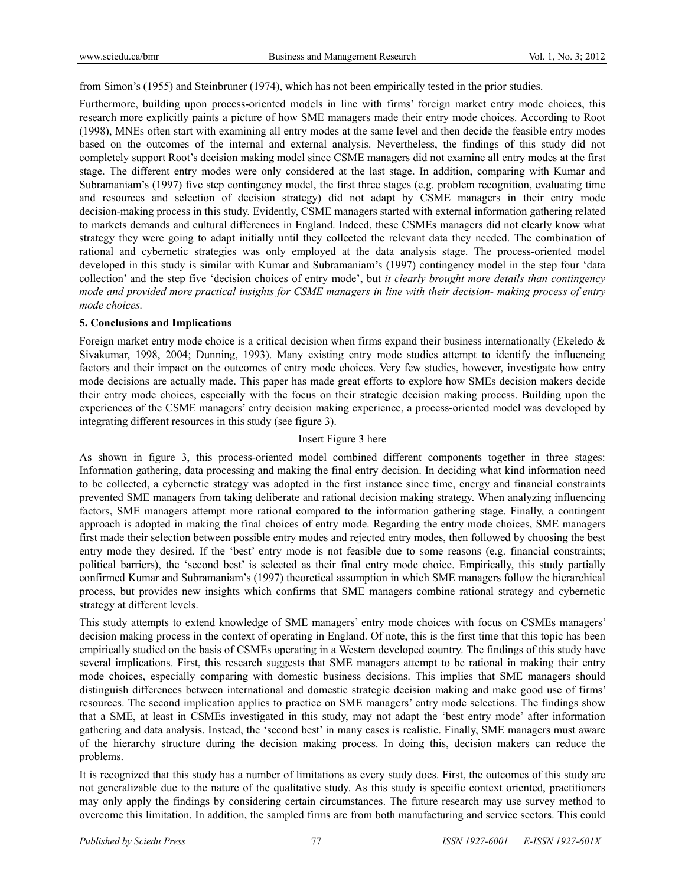from Simon's (1955) and Steinbruner (1974), which has not been empirically tested in the prior studies.

Furthermore, building upon process-oriented models in line with firms' foreign market entry mode choices, this research more explicitly paints a picture of how SME managers made their entry mode choices. According to Root (1998), MNEs often start with examining all entry modes at the same level and then decide the feasible entry modes based on the outcomes of the internal and external analysis. Nevertheless, the findings of this study did not completely support Root's decision making model since CSME managers did not examine all entry modes at the first stage. The different entry modes were only considered at the last stage. In addition, comparing with Kumar and Subramaniam's (1997) five step contingency model, the first three stages (e.g. problem recognition, evaluating time and resources and selection of decision strategy) did not adapt by CSME managers in their entry mode decision-making process in this study. Evidently, CSME managers started with external information gathering related to markets demands and cultural differences in England. Indeed, these CSMEs managers did not clearly know what strategy they were going to adapt initially until they collected the relevant data they needed. The combination of rational and cybernetic strategies was only employed at the data analysis stage. The process-oriented model developed in this study is similar with Kumar and Subramaniam's (1997) contingency model in the step four 'data collection' and the step five 'decision choices of entry mode', but *it clearly brought more details than contingency mode and provided more practical insights for CSME managers in line with their decision- making process of entry mode choices.* 

# **5. Conclusions and Implications**

Foreign market entry mode choice is a critical decision when firms expand their business internationally (Ekeledo & Sivakumar, 1998, 2004; Dunning, 1993). Many existing entry mode studies attempt to identify the influencing factors and their impact on the outcomes of entry mode choices. Very few studies, however, investigate how entry mode decisions are actually made. This paper has made great efforts to explore how SMEs decision makers decide their entry mode choices, especially with the focus on their strategic decision making process. Building upon the experiences of the CSME managers' entry decision making experience, a process-oriented model was developed by integrating different resources in this study (see figure 3).

#### Insert Figure 3 here

As shown in figure 3, this process-oriented model combined different components together in three stages: Information gathering, data processing and making the final entry decision. In deciding what kind information need to be collected, a cybernetic strategy was adopted in the first instance since time, energy and financial constraints prevented SME managers from taking deliberate and rational decision making strategy. When analyzing influencing factors, SME managers attempt more rational compared to the information gathering stage. Finally, a contingent approach is adopted in making the final choices of entry mode. Regarding the entry mode choices, SME managers first made their selection between possible entry modes and rejected entry modes, then followed by choosing the best entry mode they desired. If the 'best' entry mode is not feasible due to some reasons (e.g. financial constraints; political barriers), the 'second best' is selected as their final entry mode choice. Empirically, this study partially confirmed Kumar and Subramaniam's (1997) theoretical assumption in which SME managers follow the hierarchical process, but provides new insights which confirms that SME managers combine rational strategy and cybernetic strategy at different levels.

This study attempts to extend knowledge of SME managers' entry mode choices with focus on CSMEs managers' decision making process in the context of operating in England. Of note, this is the first time that this topic has been empirically studied on the basis of CSMEs operating in a Western developed country. The findings of this study have several implications. First, this research suggests that SME managers attempt to be rational in making their entry mode choices, especially comparing with domestic business decisions. This implies that SME managers should distinguish differences between international and domestic strategic decision making and make good use of firms' resources. The second implication applies to practice on SME managers' entry mode selections. The findings show that a SME, at least in CSMEs investigated in this study, may not adapt the 'best entry mode' after information gathering and data analysis. Instead, the 'second best' in many cases is realistic. Finally, SME managers must aware of the hierarchy structure during the decision making process. In doing this, decision makers can reduce the problems.

It is recognized that this study has a number of limitations as every study does. First, the outcomes of this study are not generalizable due to the nature of the qualitative study. As this study is specific context oriented, practitioners may only apply the findings by considering certain circumstances. The future research may use survey method to overcome this limitation. In addition, the sampled firms are from both manufacturing and service sectors. This could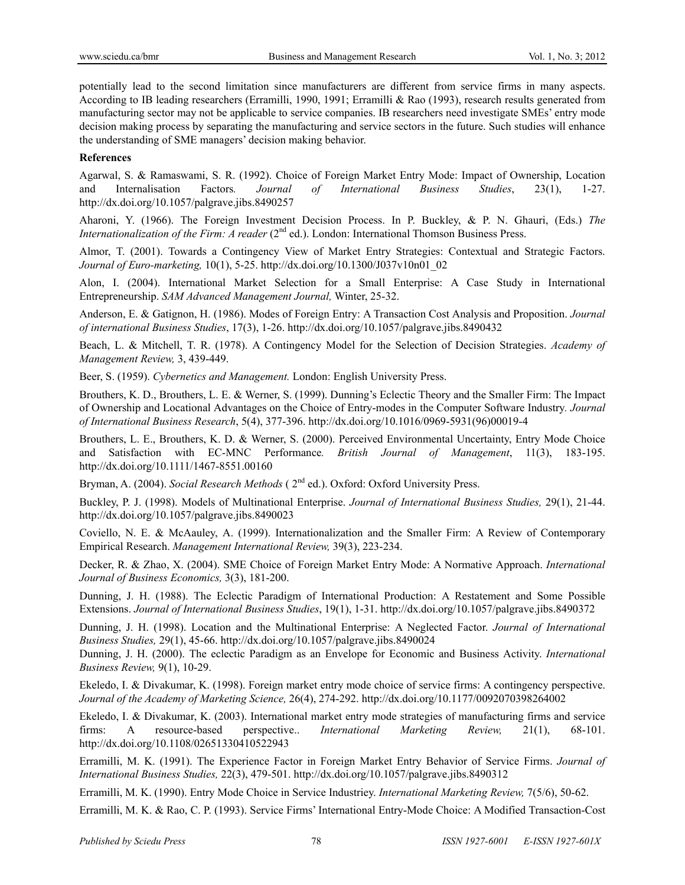potentially lead to the second limitation since manufacturers are different from service firms in many aspects. According to IB leading researchers (Erramilli, 1990, 1991; Erramilli & Rao (1993), research results generated from manufacturing sector may not be applicable to service companies. IB researchers need investigate SMEs' entry mode decision making process by separating the manufacturing and service sectors in the future. Such studies will enhance the understanding of SME managers' decision making behavior.

#### **References**

Agarwal, S. & Ramaswami, S. R. (1992). Choice of Foreign Market Entry Mode: Impact of Ownership, Location and Internalisation Factors*. Journal of International Business Studies*, 23(1), 1-27. http://dx.doi.org/10.1057/palgrave.jibs.8490257

Aharoni, Y. (1966). The Foreign Investment Decision Process. In P. Buckley, & P. N. Ghauri, (Eds.) *The Internationalization of the Firm: A reader* (2<sup>nd</sup> ed.). London: International Thomson Business Press.

Almor, T. (2001). Towards a Contingency View of Market Entry Strategies: Contextual and Strategic Factors. *Journal of Euro-marketing,* 10(1), 5-25. http://dx.doi.org/10.1300/J037v10n01\_02

Alon, I. (2004). International Market Selection for a Small Enterprise: A Case Study in International Entrepreneurship. *SAM Advanced Management Journal,* Winter, 25-32.

Anderson, E. & Gatignon, H. (1986). Modes of Foreign Entry: A Transaction Cost Analysis and Proposition. *Journal of international Business Studies*, 17(3), 1-26. http://dx.doi.org/10.1057/palgrave.jibs.8490432

Beach, L. & Mitchell, T. R. (1978). A Contingency Model for the Selection of Decision Strategies. *Academy of Management Review,* 3, 439-449.

Beer, S. (1959). *Cybernetics and Management.* London: English University Press.

Brouthers, K. D., Brouthers, L. E. & Werner, S. (1999). Dunning's Eclectic Theory and the Smaller Firm: The Impact of Ownership and Locational Advantages on the Choice of Entry-modes in the Computer Software Industry*. Journal of International Business Research*, 5(4), 377-396. http://dx.doi.org/10.1016/0969-5931(96)00019-4

Brouthers, L. E., Brouthers, K. D. & Werner, S. (2000). Perceived Environmental Uncertainty, Entry Mode Choice and Satisfaction with EC-MNC Performance*. British Journal of Management*, 11(3), 183-195. http://dx.doi.org/10.1111/1467-8551.00160

Bryman, A. (2004). *Social Research Methods* (2<sup>nd</sup> ed.). Oxford: Oxford University Press.

Buckley, P. J. (1998). Models of Multinational Enterprise. *Journal of International Business Studies,* 29(1), 21-44. http://dx.doi.org/10.1057/palgrave.jibs.8490023

Coviello, N. E. & McAauley, A. (1999). Internationalization and the Smaller Firm: A Review of Contemporary Empirical Research. *Management International Review,* 39(3), 223-234.

Decker, R. & Zhao, X. (2004). SME Choice of Foreign Market Entry Mode: A Normative Approach. *International Journal of Business Economics,* 3(3), 181-200.

Dunning, J. H. (1988). The Eclectic Paradigm of International Production: A Restatement and Some Possible Extensions. *Journal of International Business Studies*, 19(1), 1-31. http://dx.doi.org/10.1057/palgrave.jibs.8490372

Dunning, J. H. (1998). Location and the Multinational Enterprise: A Neglected Factor. *Journal of International Business Studies,* 29(1), 45-66. http://dx.doi.org/10.1057/palgrave.jibs.8490024

Dunning, J. H. (2000). The eclectic Paradigm as an Envelope for Economic and Business Activity. *International Business Review,* 9(1), 10-29.

Ekeledo, I. & Divakumar, K. (1998). Foreign market entry mode choice of service firms: A contingency perspective. *Journal of the Academy of Marketing Science,* 26(4), 274-292. http://dx.doi.org/10.1177/0092070398264002

Ekeledo, I. & Divakumar, K. (2003). International market entry mode strategies of manufacturing firms and service firms: A resource-based perspective.. *International Marketing Review,* 21(1), 68-101. http://dx.doi.org/10.1108/02651330410522943

Erramilli, M. K. (1991). The Experience Factor in Foreign Market Entry Behavior of Service Firms. *Journal of International Business Studies,* 22(3), 479-501. http://dx.doi.org/10.1057/palgrave.jibs.8490312

Erramilli, M. K. (1990). Entry Mode Choice in Service Industriey. *International Marketing Review,* 7(5/6), 50-62.

Erramilli, M. K. & Rao, C. P. (1993). Service Firms' International Entry-Mode Choice: A Modified Transaction-Cost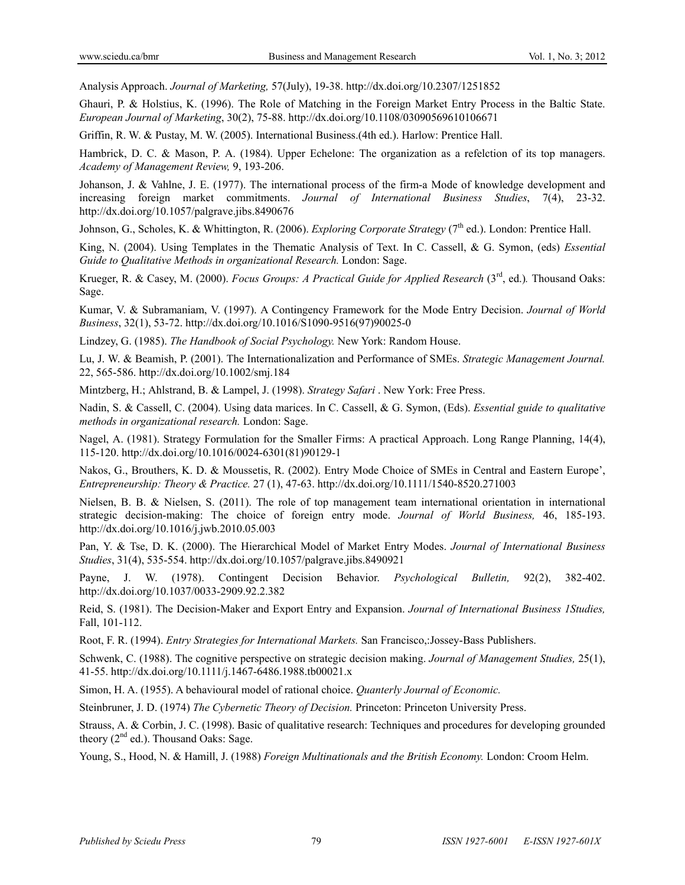Analysis Approach. *Journal of Marketing,* 57(July), 19-38. http://dx.doi.org/10.2307/1251852

Ghauri, P. & Holstius, K. (1996). The Role of Matching in the Foreign Market Entry Process in the Baltic State. *European Journal of Marketing*, 30(2), 75-88. http://dx.doi.org/10.1108/03090569610106671

Griffin, R. W. & Pustay, M. W. (2005). International Business.(4th ed.). Harlow: Prentice Hall.

Hambrick, D. C. & Mason, P. A. (1984). Upper Echelone: The organization as a refelction of its top managers. *Academy of Management Review,* 9, 193-206.

Johanson, J. & Vahlne, J. E. (1977). The international process of the firm-a Mode of knowledge development and increasing foreign market commitments. *Journal of International Business Studies*, 7(4), 23-32. http://dx.doi.org/10.1057/palgrave.jibs.8490676

Johnson, G., Scholes, K. & Whittington, R. (2006). *Exploring Corporate Strategy* (7<sup>th</sup> ed.). London: Prentice Hall.

King, N. (2004). Using Templates in the Thematic Analysis of Text. In C. Cassell, & G. Symon, (eds) *Essential Guide to Qualitative Methods in organizational Research.* London: Sage.

Krueger, R. & Casey, M. (2000). *Focus Groups: A Practical Guide for Applied Research* (3<sup>rd</sup>, ed.). Thousand Oaks: Sage.

Kumar, V. & Subramaniam, V. (1997). A Contingency Framework for the Mode Entry Decision. *Journal of World Business*, 32(1), 53-72. http://dx.doi.org/10.1016/S1090-9516(97)90025-0

Lindzey, G. (1985). *The Handbook of Social Psychology.* New York: Random House.

Lu, J. W. & Beamish, P. (2001). The Internationalization and Performance of SMEs. *Strategic Management Journal.*  22, 565-586. http://dx.doi.org/10.1002/smj.184

Mintzberg, H.; Ahlstrand, B. & Lampel, J. (1998). *Strategy Safari* . New York: Free Press.

Nadin, S. & Cassell, C. (2004). Using data marices. In C. Cassell, & G. Symon, (Eds). *Essential guide to qualitative methods in organizational research.* London: Sage.

Nagel, A. (1981). Strategy Formulation for the Smaller Firms: A practical Approach. Long Range Planning, 14(4), 115-120. http://dx.doi.org/10.1016/0024-6301(81)90129-1

Nakos, G., Brouthers, K. D. & Moussetis, R. (2002). Entry Mode Choice of SMEs in Central and Eastern Europe', *Entrepreneurship: Theory & Practice.* 27 (1), 47-63. http://dx.doi.org/10.1111/1540-8520.271003

Nielsen, B. B. & Nielsen, S. (2011). The role of top management team international orientation in international strategic decision-making: The choice of foreign entry mode. *Journal of World Business,* 46, 185-193. http://dx.doi.org/10.1016/j.jwb.2010.05.003

Pan, Y. & Tse, D. K. (2000). The Hierarchical Model of Market Entry Modes. *Journal of International Business Studies*, 31(4), 535-554. http://dx.doi.org/10.1057/palgrave.jibs.8490921

Payne, J. W. (1978). Contingent Decision Behavior. *Psychological Bulletin,* 92(2), 382-402. http://dx.doi.org/10.1037/0033-2909.92.2.382

Reid, S. (1981). The Decision-Maker and Export Entry and Expansion. *Journal of International Business 1Studies,*  Fall, 101-112.

Root, F. R. (1994). *Entry Strategies for International Markets.* San Francisco,:Jossey-Bass Publishers.

Schwenk, C. (1988). The cognitive perspective on strategic decision making. *Journal of Management Studies,* 25(1), 41-55. http://dx.doi.org/10.1111/j.1467-6486.1988.tb00021.x

Simon, H. A. (1955). A behavioural model of rational choice. *Quanterly Journal of Economic.* 

Steinbruner, J. D. (1974) *The Cybernetic Theory of Decision.* Princeton: Princeton University Press.

Strauss, A. & Corbin, J. C. (1998). Basic of qualitative research: Techniques and procedures for developing grounded theory  $(2^{nd}$  ed.). Thousand Oaks: Sage.

Young, S., Hood, N. & Hamill, J. (1988) *Foreign Multinationals and the British Economy*. London: Croom Helm.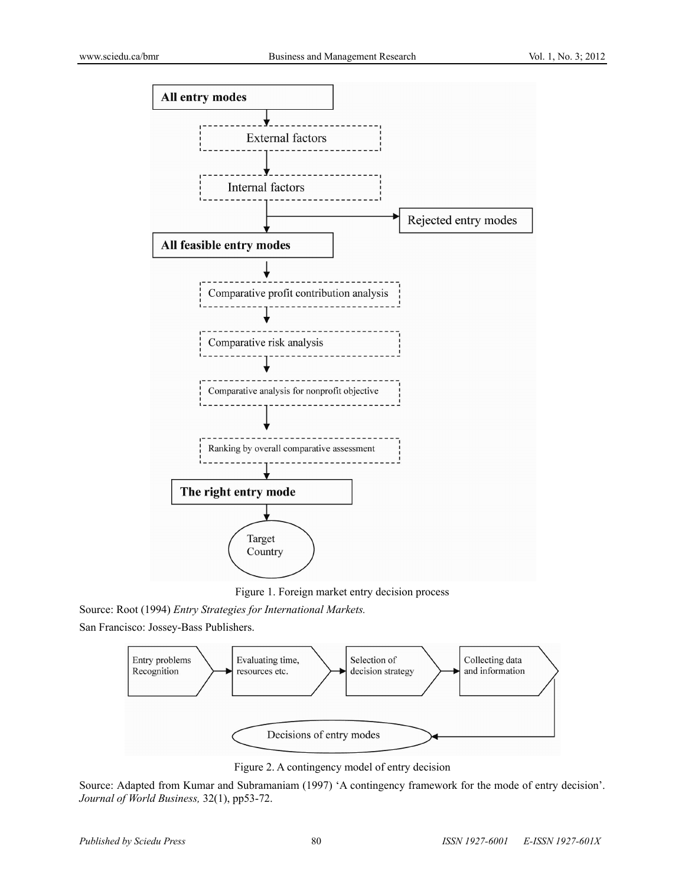

Figure 1. Foreign market entry decision process

Source: Root (1994) *Entry Strategies for International Markets.* 

San Francisco: Jossey-Bass Publishers.





Source: Adapted from Kumar and Subramaniam (1997) 'A contingency framework for the mode of entry decision'. *Journal of World Business,* 32(1), pp53-72.